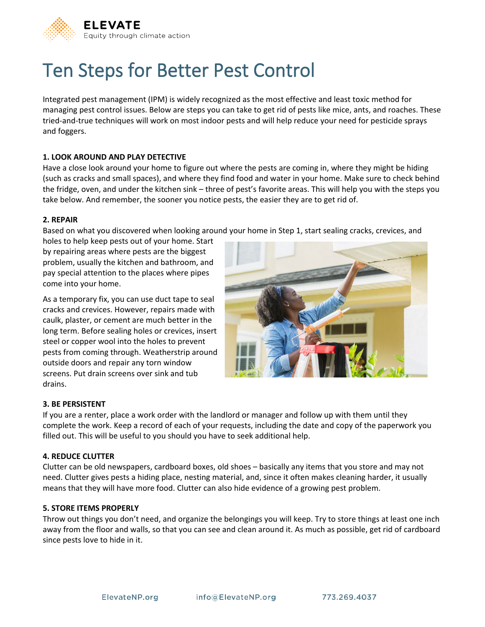

# Ten Steps for Better Pest Control

Integrated pest management (IPM) is widely recognized as the most effective and least toxic method for managing pest control issues. Below are steps you can take to get rid of pests like mice, ants, and roaches. These tried-and-true techniques will work on most indoor pests and will help reduce your need for pesticide sprays and foggers.

# **1. LOOK AROUND AND PLAY DETECTIVE**

Have a close look around your home to figure out where the pests are coming in, where they might be hiding (such as cracks and small spaces), and where they find food and water in your home. Make sure to check behind the fridge, oven, and under the kitchen sink – three of pest's favorite areas. This will help you with the steps you take below. And remember, the sooner you notice pests, the easier they are to get rid of.

## **2. REPAIR**

Based on what you discovered when looking around your home in Step 1, start sealing cracks, crevices, and

holes to help keep pests out of your home. Start by repairing areas where pests are the biggest problem, usually the kitchen and bathroom, and pay special attention to the places where pipes come into your home.

As a temporary fix, you can use duct tape to seal cracks and crevices. However, repairs made with caulk, plaster, or cement are much better in the long term. Before sealing holes or crevices, insert steel or copper wool into the holes to prevent pests from coming through. Weatherstrip around outside doors and repair any torn window screens. Put drain screens over sink and tub drains.



#### **3. BE PERSISTENT**

If you are a renter, place a work order with the landlord or manager and follow up with them until they complete the work. Keep a record of each of your requests, including the date and copy of the paperwork you filled out. This will be useful to you should you have to seek additional help.

# **4. REDUCE CLUTTER**

Clutter can be old newspapers, cardboard boxes, old shoes – basically any items that you store and may not need. Clutter gives pests a hiding place, nesting material, and, since it often makes cleaning harder, it usually means that they will have more food. Clutter can also hide evidence of a growing pest problem.

#### **5. STORE ITEMS PROPERLY**

Throw out things you don't need, and organize the belongings you will keep. Try to store things at least one inch away from the floor and walls, so that you can see and clean around it. As much as possible, get rid of cardboard since pests love to hide in it.